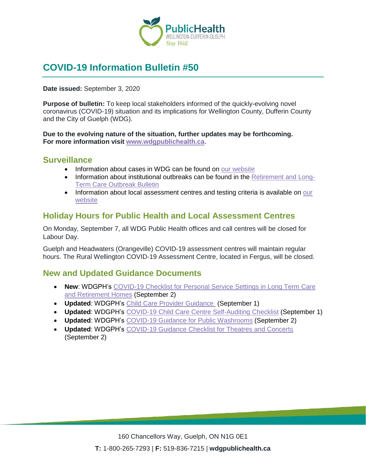

# **COVID-19 Information Bulletin #50**

**Date issued:** September 3, 2020

**Purpose of bulletin:** To keep local stakeholders informed of the quickly-evolving novel coronavirus (COVID-19) situation and its implications for Wellington County, Dufferin County and the City of Guelph (WDG).

**Due to the evolving nature of the situation, further updates may be forthcoming. For more information visit [www.wdgpublichealth.ca](http://www.wdgpublichealth.ca/)**.

#### **Surveillance**

- Information about cases in WDG can be found on [our website](https://wdgpublichealth.ca/your-health/covid-19-information-public/status-cases-wdg)
- Information about institutional outbreaks can be found in the [Retirement and Long-](https://wdgpublichealth.ca/node/1542)[Term Care Outbreak Bulletin](https://wdgpublichealth.ca/node/1542)
- Information about local assessment centres and testing criteria is available on our [website](https://www.wdgpublichealth.ca/your-health/covid-19-information-public/assessment-centres-wdg)

#### **Holiday Hours for Public Health and Local Assessment Centres**

On Monday, September 7, all WDG Public Health offices and call centres will be closed for Labour Day.

Guelph and Headwaters (Orangeville) COVID-19 assessment centres will maintain regular hours. The Rural Wellington COVID-19 Assessment Centre, located in Fergus, will be closed.

### **New and Updated Guidance Documents**

- **New**: WDGPH's [COVID-19 Checklist for Personal Service Settings in Long Term Care](https://www.wdgpublichealth.ca/sites/default/files/wdgph_covid-19_guidance_pss_in_ltc_and_rh.pdf)  [and Retirement](https://www.wdgpublichealth.ca/sites/default/files/wdgph_covid-19_guidance_pss_in_ltc_and_rh.pdf) Homes (September 2)
- **Updated**: WDGPH's [Child Care Provider Guidance](https://www.wdgpublichealth.ca/sites/default/files/covid_child_care_provider_guidance.pdf) (September 1)
- **Updated**: WDGPH's [COVID-19 Child Care Centre Self-Auditing Checklist](https://www.wdgpublichealth.ca/sites/default/files/covid-19_child_care_centre_self_auditing_checklist.pdf) (September 1)
- **Updated**: WDGPH's [COVID-19 Guidance for Public](https://www.wdgpublichealth.ca/sites/default/files/public_washrooms_guidance.pdf) Washrooms (September 2)
- **Updated**: WDGPH's COVID-19 [Guidance Checklist for Theatres and Concerts](https://www.wdgpublichealth.ca/sites/default/files/wdgph_covid-19_guidance_checklist_for_theatres_concerts.pdf) (September 2)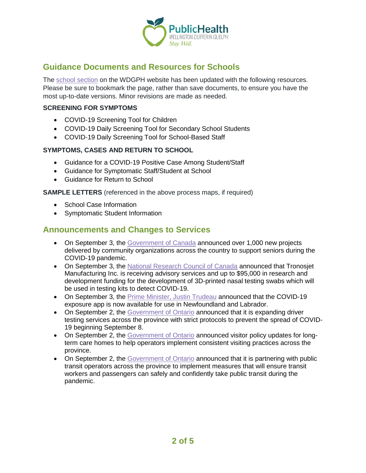

## **Guidance Documents and Resources for Schools**

The [school section](https://www.wdgpublichealth.ca/your-health/covid-19-information-schools-parents-and-teachers/schools-and-post-secondary) on the WDGPH website has been updated with the following resources. Please be sure to bookmark the page, rather than save documents, to ensure you have the most up-to-date versions. Minor revisions are made as needed.

#### **SCREENING FOR SYMPTOMS**

- COVID-19 Screening Tool for Children
- COVID-19 Daily Screening Tool for Secondary School Students
- COVID-19 Daily Screening Tool for School-Based Staff

#### **SYMPTOMS, CASES AND RETURN TO SCHOOL**

- Guidance for a COVID-19 Positive Case Among Student/Staff
- Guidance for Symptomatic Staff/Student at School
- Guidance for Return to School

**SAMPLE LETTERS** (referenced in the above process maps, if required)

- School Case Information
- Symptomatic Student Information

#### **Announcements and Changes to Services**

- On September 3, the [Government of Canada](https://www.canada.ca/en/employment-social-development/news/2020/09/x.html) announced over 1,000 new projects delivered by community organizations across the country to support seniors during the COVID-19 pandemic.
- On September 3, the [National Research Council of Canada](https://www.canada.ca/en/national-research-council/news/2020/09/tronosjet-manufacturing-inc-receives-funding-from-government-of-canada-to-develop-testing-swabs-for-covid-19.html) announced that Tronosjet Manufacturing Inc. is receiving advisory services and up to \$95,000 in research and development funding for the development of 3D-printed nasal testing swabs which will be used in testing kits to detect COVID-19.
- On September 3, the [Prime Minister, Justin Trudeau](https://pm.gc.ca/en/news/news-releases/2020/09/03/canadas-covid-19-exposure-notification-app-now-available-newfoundland) announced that the COVID-19 exposure app is now available for use in Newfoundland and Labrador.
- On September 2, the [Government of Ontario](https://www.news.ontario.ca/mto/en/2020/09/ontario-expands-driver-testing-services-provincewide.html) announced that it is expanding driver testing services across the province with strict protocols to prevent the spread of COVID-19 beginning September 8.
- On September 2, the [Government of Ontario](https://www.news.ontario.ca/mltc/en/2020/09/welcoming-caregivers-to-ontarios-long-term-care-homes.html) announced visitor policy updates for longterm care homes to help operators implement consistent visiting practices across the province.
- On September 2, the [Government of Ontario](https://www.news.ontario.ca/opo/en/2020/09/ontario-protecting-transit-riders-and-workers-as-province-reopens.html) announced that it is partnering with public transit operators across the province to implement measures that will ensure transit workers and passengers can safely and confidently take public transit during the pandemic.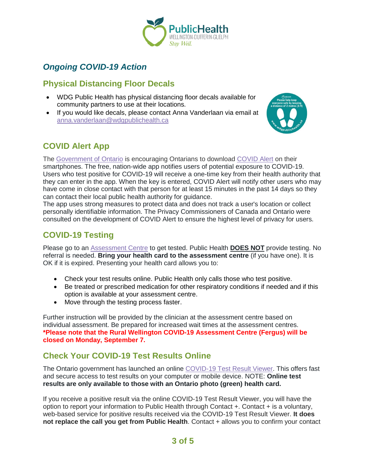

# *Ongoing COVID-19 Action*

### **Physical Distancing Floor Decals**

- WDG Public Health has physical distancing floor decals available for community partners to use at their locations.
- If you would like decals, please contact Anna Vanderlaan via email at [anna.vanderlaan@wdgpublichealth.ca](mailto:anna.vanderlaan@wdgpublichealth.ca)



# **COVID Alert App**

The [Government of Ontario](https://news.ontario.ca/opo/en/2020/07/covid-alert-available-for-download-beginning-today.html) is encouraging Ontarians to download [COVID Alert](https://covid-19.ontario.ca/covidalert?_ga=2.68068817.1702415536.1596548534-1123331746.1579028832) on their smartphones. The free, nation-wide app notifies users of potential exposure to COVID-19. Users who test positive for COVID-19 will receive a one-time key from their health authority that they can enter in the app. When the key is entered, COVID Alert will notify other users who may have come in close contact with that person for at least 15 minutes in the past 14 days so they can contact their local public health authority for guidance.

The app uses strong measures to protect data and does not track a user's location or collect personally identifiable information. The Privacy Commissioners of Canada and Ontario were consulted on the development of COVID Alert to ensure the highest level of privacy for users.

### **COVID-19 Testing**

Please go to an [Assessment Centre](https://wdgpublichealth.ca/your-health/covid-19-information-public/assessment-centres-wdg) to get tested. Public Health **DOES NOT** provide testing. No referral is needed. **Bring your health card to the assessment centre** (if you have one). It is OK if it is expired. Presenting your health card allows you to:

- Check your test results online. Public Health only calls those who test positive.
- Be treated or prescribed medication for other respiratory conditions if needed and if this option is available at your assessment centre.
- Move through the testing process faster.

Further instruction will be provided by the clinician at the assessment centre based on individual assessment. Be prepared for increased wait times at the assessment centres. **\*Please note that the Rural Wellington COVID-19 Assessment Centre (Fergus) will be closed on Monday, September 7.**

# **Check Your COVID-19 Test Results Online**

The Ontario government has launched an online [COVID-19 Test Result Viewer.](https://covid19results.ehealthontario.ca:4443/agree) This offers fast and secure access to test results on your computer or mobile device. NOTE: **Online test results are only available to those with an Ontario photo (green) health card.**

If you receive a positive result via the online COVID-19 Test Result Viewer, you will have the option to report your information to Public Health through Contact +. Contact + is a voluntary, web-based service for positive results received via the COVID-19 Test Result Viewer. **It does not replace the call you get from Public Health**. Contact + allows you to confirm your contact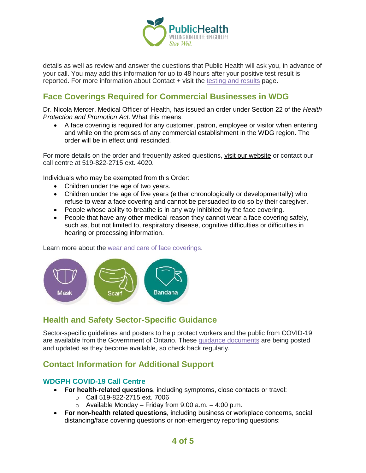

details as well as review and answer the questions that Public Health will ask you, in advance of your call. You may add this information for up to 48 hours after your positive test result is reported. For more information about Contact + visit the [testing and results](https://www.wdgpublichealth.ca/your-health/covid-19-information-public/testing-and-results) page.

# **Face Coverings Required for Commercial Businesses in WDG**

Dr. Nicola Mercer, Medical Officer of Health, has issued an order under Section 22 of the *Health Protection and Promotion Act*. What this means:

• A face covering is required for any customer, patron, employee or visitor when entering and while on the premises of any commercial establishment in the WDG region. The order will be in effect until rescinded.

For more details on the order and frequently asked questions, [visit our website](https://www.wdgpublichealth.ca/your-health/covid-19-information-public/face-coverings-class-order-and-faqs) or contact our call centre at 519-822-2715 ext. 4020.

Individuals who may be exempted from this Order:

- Children under the age of two years.
- Children under the age of five years (either chronologically or developmentally) who refuse to wear a face covering and cannot be persuaded to do so by their caregiver.
- People whose ability to breathe is in any way inhibited by the face covering.
- People that have any other medical reason they cannot wear a face covering safely. such as, but not limited to, respiratory disease, cognitive difficulties or difficulties in hearing or processing information.

Learn more about the [wear and care of face coverings.](https://www.wdgpublichealth.ca/your-health/covid-19-information-public/face-coverings-class-order-and-faqs/wear-and-care-face)



### **Health and Safety Sector-Specific Guidance**

Sector-specific guidelines and posters to help protect workers and the public from COVID-19 are available from the Government of Ontario. These [guidance documents](https://www.ontario.ca/page/resources-prevent-covid-19-workplace) are being posted and updated as they become available, so check back regularly.

### **Contact Information for Additional Support**

#### **WDGPH COVID-19 Call Centre**

- **For health-related questions**, including symptoms, close contacts or travel:
	- o Call 519-822-2715 ext. 7006
	- $\circ$  Available Monday Friday from 9:00 a.m. 4:00 p.m.
- **For non-health related questions**, including business or workplace concerns, social distancing/face covering questions or non-emergency reporting questions: